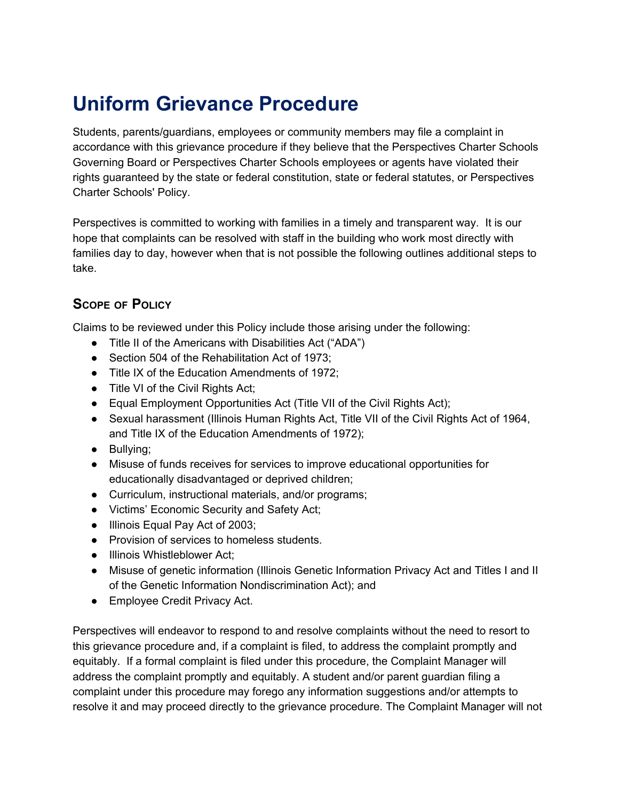# **Uniform Grievance Procedure**

Students, parents/guardians, employees or community members may file a complaint in accordance with this grievance procedure if they believe that the Perspectives Charter Schools Governing Board or Perspectives Charter Schools employees or agents have violated their rights guaranteed by the state or federal constitution, state or federal statutes, or Perspectives Charter Schools' Policy.

Perspectives is committed to working with families in a timely and transparent way. It is our hope that complaints can be resolved with staff in the building who work most directly with families day to day, however when that is not possible the following outlines additional steps to take.

# **SCOPE OF POLICY**

Claims to be reviewed under this Policy include those arising under the following:

- Title II of the Americans with Disabilities Act ("ADA")
- Section 504 of the Rehabilitation Act of 1973:
- Title IX of the Education Amendments of 1972;
- Title VI of the Civil Rights Act;
- Equal Employment Opportunities Act (Title VII of the Civil Rights Act);
- Sexual harassment (Illinois Human Rights Act, Title VII of the Civil Rights Act of 1964, and Title IX of the Education Amendments of 1972);
- Bullying;
- Misuse of funds receives for services to improve educational opportunities for educationally disadvantaged or deprived children;
- Curriculum, instructional materials, and/or programs;
- Victims' Economic Security and Safety Act;
- Illinois Equal Pay Act of 2003;
- Provision of services to homeless students.
- Illinois Whistleblower Act:
- Misuse of genetic information (Illinois Genetic Information Privacy Act and Titles I and II of the Genetic Information Nondiscrimination Act); and
- Employee Credit Privacy Act.

Perspectives will endeavor to respond to and resolve complaints without the need to resort to this grievance procedure and, if a complaint is filed, to address the complaint promptly and equitably. If a formal complaint is filed under this procedure, the Complaint Manager will address the complaint promptly and equitably. A student and/or parent guardian filing a complaint under this procedure may forego any information suggestions and/or attempts to resolve it and may proceed directly to the grievance procedure. The Complaint Manager will not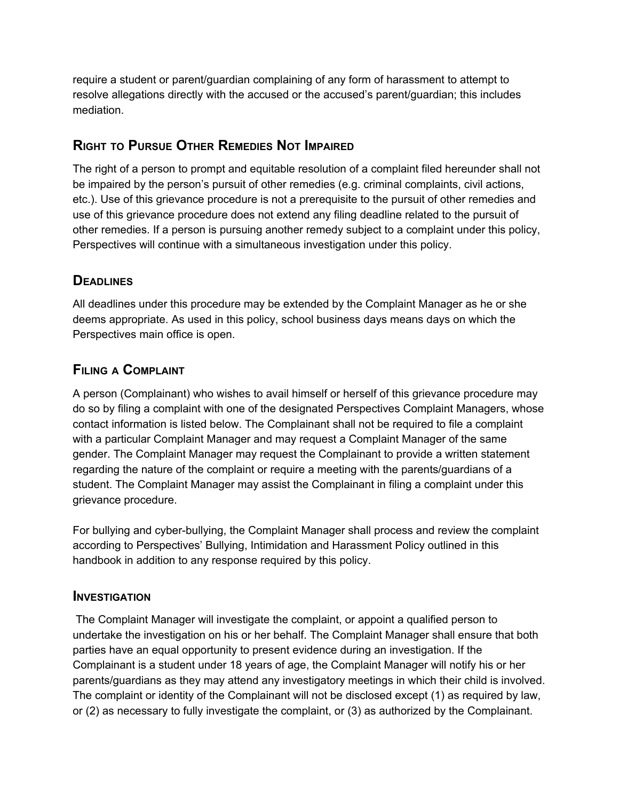require a student or parent/guardian complaining of any form of harassment to attempt to resolve allegations directly with the accused or the accused's parent/guardian; this includes mediation.

## **RIGHT TO PURSUE OTHER REMEDIES NOT IMPAIRED**

The right of a person to prompt and equitable resolution of a complaint filed hereunder shall not be impaired by the person's pursuit of other remedies (e.g. criminal complaints, civil actions, etc.). Use of this grievance procedure is not a prerequisite to the pursuit of other remedies and use of this grievance procedure does not extend any filing deadline related to the pursuit of other remedies. If a person is pursuing another remedy subject to a complaint under this policy, Perspectives will continue with a simultaneous investigation under this policy.

# **DEADLINES**

All deadlines under this procedure may be extended by the Complaint Manager as he or she deems appropriate. As used in this policy, school business days means days on which the Perspectives main office is open.

## **FILING <sup>A</sup> COMPLAINT**

A person (Complainant) who wishes to avail himself or herself of this grievance procedure may do so by filing a complaint with one of the designated Perspectives Complaint Managers, whose contact information is listed below. The Complainant shall not be required to file a complaint with a particular Complaint Manager and may request a Complaint Manager of the same gender. The Complaint Manager may request the Complainant to provide a written statement regarding the nature of the complaint or require a meeting with the parents/guardians of a student. The Complaint Manager may assist the Complainant in filing a complaint under this grievance procedure.

For bullying and cyber-bullying, the Complaint Manager shall process and review the complaint according to Perspectives' Bullying, Intimidation and Harassment Policy outlined in this handbook in addition to any response required by this policy.

## **INVESTIGATION**

The Complaint Manager will investigate the complaint, or appoint a qualified person to undertake the investigation on his or her behalf. The Complaint Manager shall ensure that both parties have an equal opportunity to present evidence during an investigation. If the Complainant is a student under 18 years of age, the Complaint Manager will notify his or her parents/guardians as they may attend any investigatory meetings in which their child is involved. The complaint or identity of the Complainant will not be disclosed except (1) as required by law, or (2) as necessary to fully investigate the complaint, or (3) as authorized by the Complainant.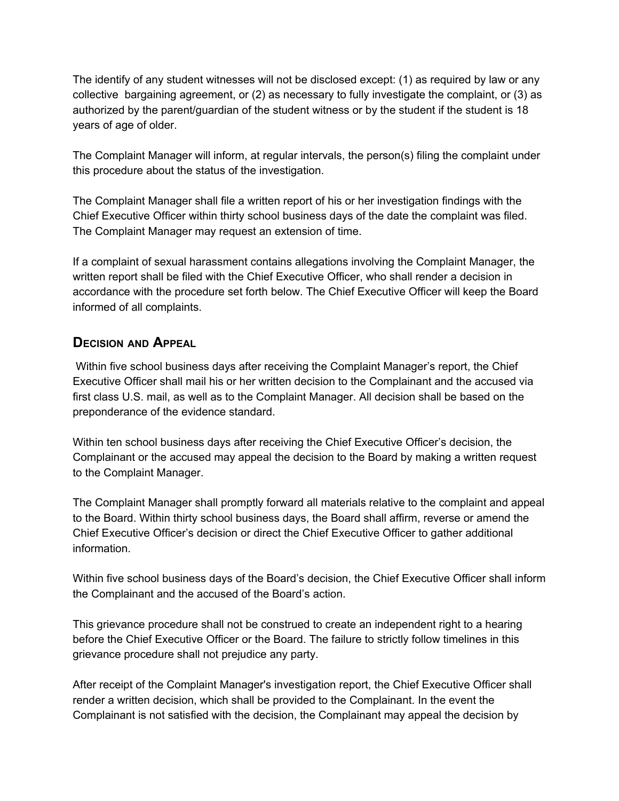The identify of any student witnesses will not be disclosed except: (1) as required by law or any collective bargaining agreement, or (2) as necessary to fully investigate the complaint, or (3) as authorized by the parent/guardian of the student witness or by the student if the student is 18 years of age of older.

The Complaint Manager will inform, at regular intervals, the person(s) filing the complaint under this procedure about the status of the investigation.

The Complaint Manager shall file a written report of his or her investigation findings with the Chief Executive Officer within thirty school business days of the date the complaint was filed. The Complaint Manager may request an extension of time.

If a complaint of sexual harassment contains allegations involving the Complaint Manager, the written report shall be filed with the Chief Executive Officer, who shall render a decision in accordance with the procedure set forth below. The Chief Executive Officer will keep the Board informed of all complaints.

## **DECISION AND APPEAL**

Within five school business days after receiving the Complaint Manager's report, the Chief Executive Officer shall mail his or her written decision to the Complainant and the accused via first class U.S. mail, as well as to the Complaint Manager. All decision shall be based on the preponderance of the evidence standard.

Within ten school business days after receiving the Chief Executive Officer's decision, the Complainant or the accused may appeal the decision to the Board by making a written request to the Complaint Manager.

The Complaint Manager shall promptly forward all materials relative to the complaint and appeal to the Board. Within thirty school business days, the Board shall affirm, reverse or amend the Chief Executive Officer's decision or direct the Chief Executive Officer to gather additional information.

Within five school business days of the Board's decision, the Chief Executive Officer shall inform the Complainant and the accused of the Board's action.

This grievance procedure shall not be construed to create an independent right to a hearing before the Chief Executive Officer or the Board. The failure to strictly follow timelines in this grievance procedure shall not prejudice any party.

After receipt of the Complaint Manager's investigation report, the Chief Executive Officer shall render a written decision, which shall be provided to the Complainant. In the event the Complainant is not satisfied with the decision, the Complainant may appeal the decision by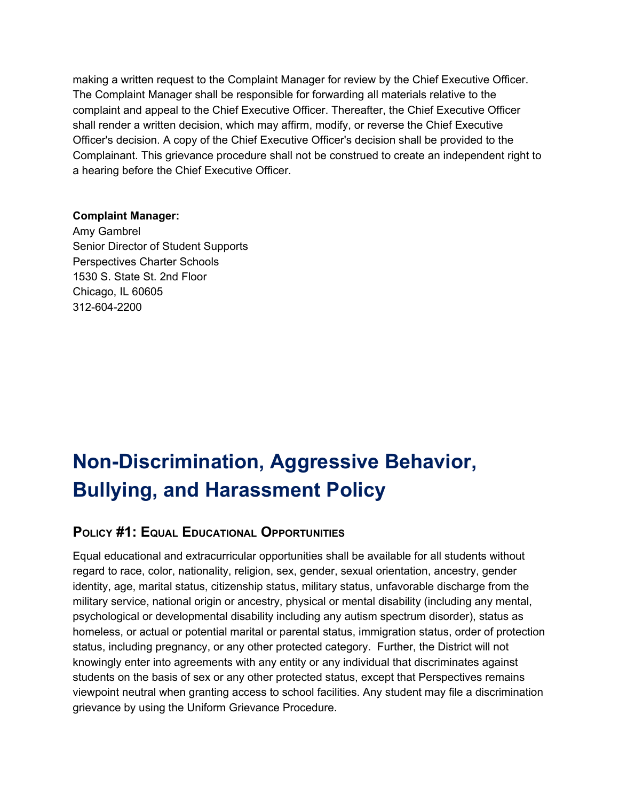making a written request to the Complaint Manager for review by the Chief Executive Officer. The Complaint Manager shall be responsible for forwarding all materials relative to the complaint and appeal to the Chief Executive Officer. Thereafter, the Chief Executive Officer shall render a written decision, which may affirm, modify, or reverse the Chief Executive Officer's decision. A copy of the Chief Executive Officer's decision shall be provided to the Complainant. This grievance procedure shall not be construed to create an independent right to a hearing before the Chief Executive Officer.

#### **Complaint Manager:**

Amy Gambrel Senior Director of Student Supports Perspectives Charter Schools 1530 S. State St. 2nd Floor Chicago, IL 60605 312-604-2200

# **Non-Discrimination, Aggressive Behavior, Bullying, and Harassment Policy**

## **POLICY #1: EQUAL EDUCATIONAL OPPORTUNITIES**

Equal educational and extracurricular opportunities shall be available for all students without regard to race, color, nationality, religion, sex, gender, sexual orientation, ancestry, gender identity, age, marital status, citizenship status, military status, unfavorable discharge from the military service, national origin or ancestry, physical or mental disability (including any mental, psychological or developmental disability including any autism spectrum disorder), status as homeless, or actual or potential marital or parental status, immigration status, order of protection status, including pregnancy, or any other protected category. Further, the District will not knowingly enter into agreements with any entity or any individual that discriminates against students on the basis of sex or any other protected status, except that Perspectives remains viewpoint neutral when granting access to school facilities. Any student may file a discrimination grievance by using the Uniform Grievance Procedure.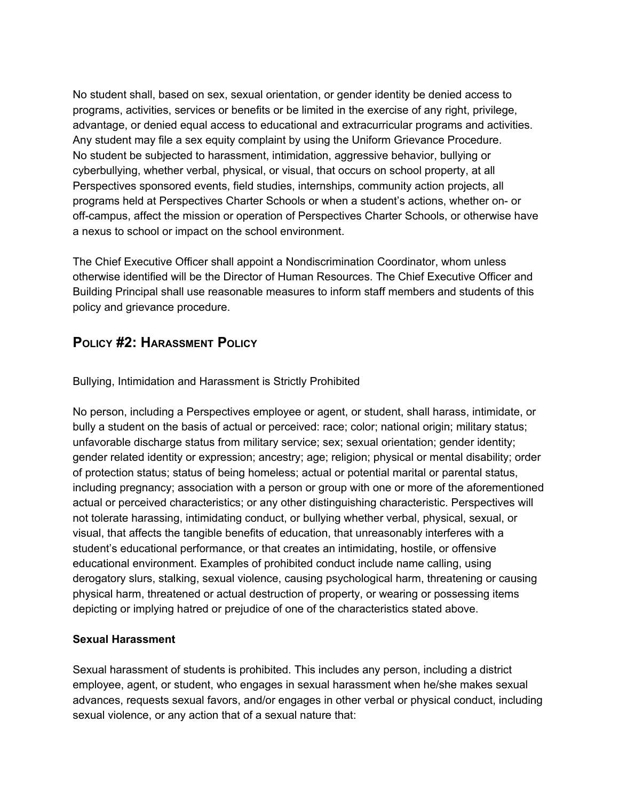No student shall, based on sex, sexual orientation, or gender identity be denied access to programs, activities, services or benefits or be limited in the exercise of any right, privilege, advantage, or denied equal access to educational and extracurricular programs and activities. Any student may file a sex equity complaint by using the Uniform Grievance Procedure. No student be subjected to harassment, intimidation, aggressive behavior, bullying or cyberbullying, whether verbal, physical, or visual, that occurs on school property, at all Perspectives sponsored events, field studies, internships, community action projects, all programs held at Perspectives Charter Schools or when a student's actions, whether on- or off-campus, affect the mission or operation of Perspectives Charter Schools, or otherwise have a nexus to school or impact on the school environment.

The Chief Executive Officer shall appoint a Nondiscrimination Coordinator, whom unless otherwise identified will be the Director of Human Resources. The Chief Executive Officer and Building Principal shall use reasonable measures to inform staff members and students of this policy and grievance procedure.

## **POLICY #2: HARASSMENT POLICY**

Bullying, Intimidation and Harassment is Strictly Prohibited

No person, including a Perspectives employee or agent, or student, shall harass, intimidate, or bully a student on the basis of actual or perceived: race; color; national origin; military status; unfavorable discharge status from military service; sex; sexual orientation; gender identity; gender related identity or expression; ancestry; age; religion; physical or mental disability; order of protection status; status of being homeless; actual or potential marital or parental status, including pregnancy; association with a person or group with one or more of the aforementioned actual or perceived characteristics; or any other distinguishing characteristic. Perspectives will not tolerate harassing, intimidating conduct, or bullying whether verbal, physical, sexual, or visual, that affects the tangible benefits of education, that unreasonably interferes with a student's educational performance, or that creates an intimidating, hostile, or offensive educational environment. Examples of prohibited conduct include name calling, using derogatory slurs, stalking, sexual violence, causing psychological harm, threatening or causing physical harm, threatened or actual destruction of property, or wearing or possessing items depicting or implying hatred or prejudice of one of the characteristics stated above.

#### **Sexual Harassment**

Sexual harassment of students is prohibited. This includes any person, including a district employee, agent, or student, who engages in sexual harassment when he/she makes sexual advances, requests sexual favors, and/or engages in other verbal or physical conduct, including sexual violence, or any action that of a sexual nature that: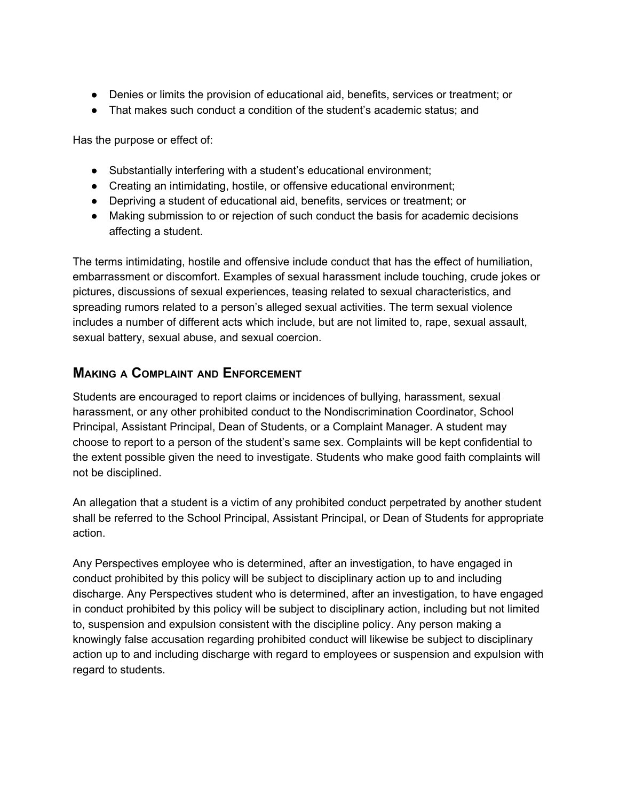- Denies or limits the provision of educational aid, benefits, services or treatment; or
- That makes such conduct a condition of the student's academic status; and

Has the purpose or effect of:

- Substantially interfering with a student's educational environment;
- Creating an intimidating, hostile, or offensive educational environment;
- Depriving a student of educational aid, benefits, services or treatment; or
- Making submission to or rejection of such conduct the basis for academic decisions affecting a student.

The terms intimidating, hostile and offensive include conduct that has the effect of humiliation, embarrassment or discomfort. Examples of sexual harassment include touching, crude jokes or pictures, discussions of sexual experiences, teasing related to sexual characteristics, and spreading rumors related to a person's alleged sexual activities. The term sexual violence includes a number of different acts which include, but are not limited to, rape, sexual assault, sexual battery, sexual abuse, and sexual coercion.

## **MAKING <sup>A</sup> COMPLAINT AND ENFORCEMENT**

Students are encouraged to report claims or incidences of bullying, harassment, sexual harassment, or any other prohibited conduct to the Nondiscrimination Coordinator, School Principal, Assistant Principal, Dean of Students, or a Complaint Manager. A student may choose to report to a person of the student's same sex. Complaints will be kept confidential to the extent possible given the need to investigate. Students who make good faith complaints will not be disciplined.

An allegation that a student is a victim of any prohibited conduct perpetrated by another student shall be referred to the School Principal, Assistant Principal, or Dean of Students for appropriate action.

Any Perspectives employee who is determined, after an investigation, to have engaged in conduct prohibited by this policy will be subject to disciplinary action up to and including discharge. Any Perspectives student who is determined, after an investigation, to have engaged in conduct prohibited by this policy will be subject to disciplinary action, including but not limited to, suspension and expulsion consistent with the discipline policy. Any person making a knowingly false accusation regarding prohibited conduct will likewise be subject to disciplinary action up to and including discharge with regard to employees or suspension and expulsion with regard to students.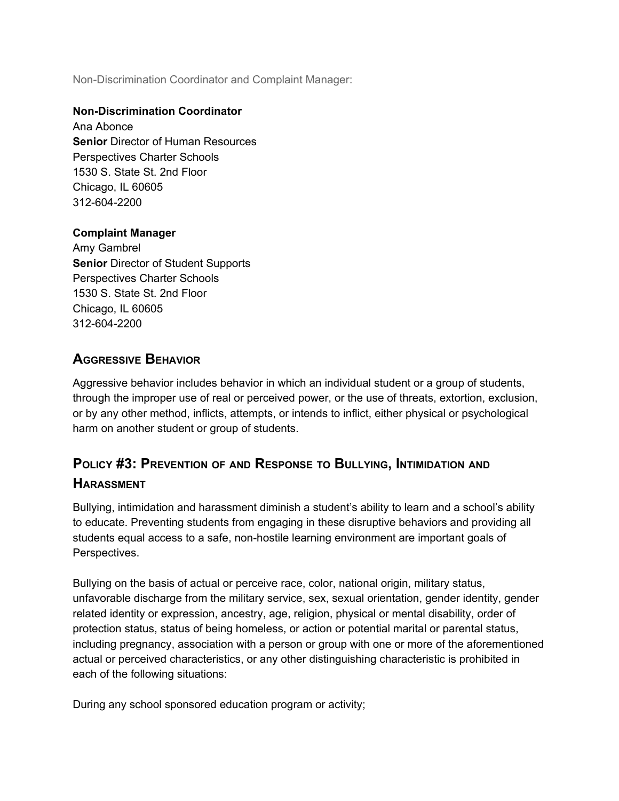Non-Discrimination Coordinator and Complaint Manager:

#### **Non-Discrimination Coordinator**

Ana Abonce **Senior** Director of Human Resources Perspectives Charter Schools 1530 S. State St. 2nd Floor Chicago, IL 60605 312-604-2200

#### **Complaint Manager**

Amy Gambrel **Senior** Director of Student Supports Perspectives Charter Schools 1530 S. State St. 2nd Floor Chicago, IL 60605 312-604-2200

## **AGGRESSIVE BEHAVIOR**

Aggressive behavior includes behavior in which an individual student or a group of students, through the improper use of real or perceived power, or the use of threats, extortion, exclusion, or by any other method, inflicts, attempts, or intends to inflict, either physical or psychological harm on another student or group of students.

# **POLICY #3: PREVENTION OF AND RESPONSE TO BULLYING, INTIMIDATION AND HARASSMENT**

Bullying, intimidation and harassment diminish a student's ability to learn and a school's ability to educate. Preventing students from engaging in these disruptive behaviors and providing all students equal access to a safe, non-hostile learning environment are important goals of Perspectives.

Bullying on the basis of actual or perceive race, color, national origin, military status, unfavorable discharge from the military service, sex, sexual orientation, gender identity, gender related identity or expression, ancestry, age, religion, physical or mental disability, order of protection status, status of being homeless, or action or potential marital or parental status, including pregnancy, association with a person or group with one or more of the aforementioned actual or perceived characteristics, or any other distinguishing characteristic is prohibited in each of the following situations:

During any school sponsored education program or activity;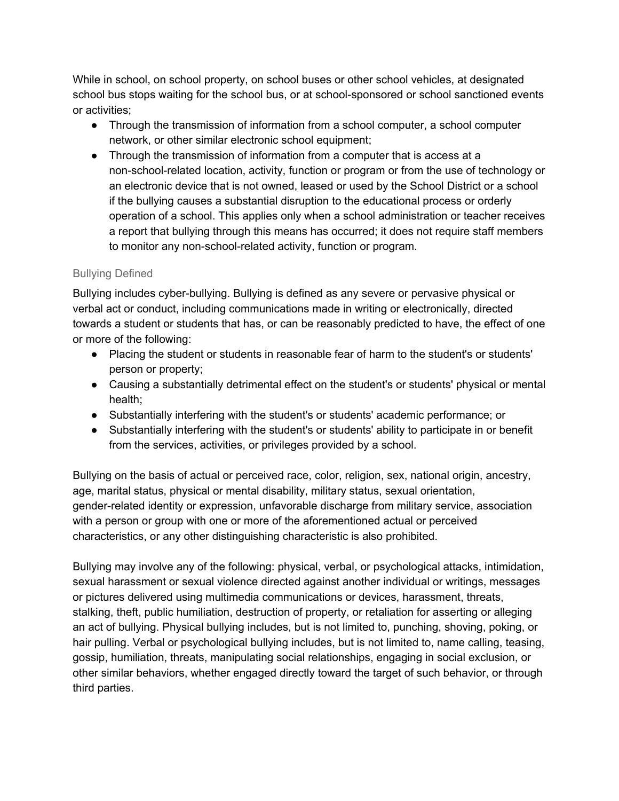While in school, on school property, on school buses or other school vehicles, at designated school bus stops waiting for the school bus, or at school-sponsored or school sanctioned events or activities;

- Through the transmission of information from a school computer, a school computer network, or other similar electronic school equipment;
- Through the transmission of information from a computer that is access at a non-school-related location, activity, function or program or from the use of technology or an electronic device that is not owned, leased or used by the School District or a school if the bullying causes a substantial disruption to the educational process or orderly operation of a school. This applies only when a school administration or teacher receives a report that bullying through this means has occurred; it does not require staff members to monitor any non-school-related activity, function or program.

### Bullying Defined

Bullying includes cyber-bullying. Bullying is defined as any severe or pervasive physical or verbal act or conduct, including communications made in writing or electronically, directed towards a student or students that has, or can be reasonably predicted to have, the effect of one or more of the following:

- Placing the student or students in reasonable fear of harm to the student's or students' person or property;
- Causing a substantially detrimental effect on the student's or students' physical or mental health;
- Substantially interfering with the student's or students' academic performance; or
- Substantially interfering with the student's or students' ability to participate in or benefit from the services, activities, or privileges provided by a school.

Bullying on the basis of actual or perceived race, color, religion, sex, national origin, ancestry, age, marital status, physical or mental disability, military status, sexual orientation, gender-related identity or expression, unfavorable discharge from military service, association with a person or group with one or more of the aforementioned actual or perceived characteristics, or any other distinguishing characteristic is also prohibited.

Bullying may involve any of the following: physical, verbal, or psychological attacks, intimidation, sexual harassment or sexual violence directed against another individual or writings, messages or pictures delivered using multimedia communications or devices, harassment, threats, stalking, theft, public humiliation, destruction of property, or retaliation for asserting or alleging an act of bullying. Physical bullying includes, but is not limited to, punching, shoving, poking, or hair pulling. Verbal or psychological bullying includes, but is not limited to, name calling, teasing, gossip, humiliation, threats, manipulating social relationships, engaging in social exclusion, or other similar behaviors, whether engaged directly toward the target of such behavior, or through third parties.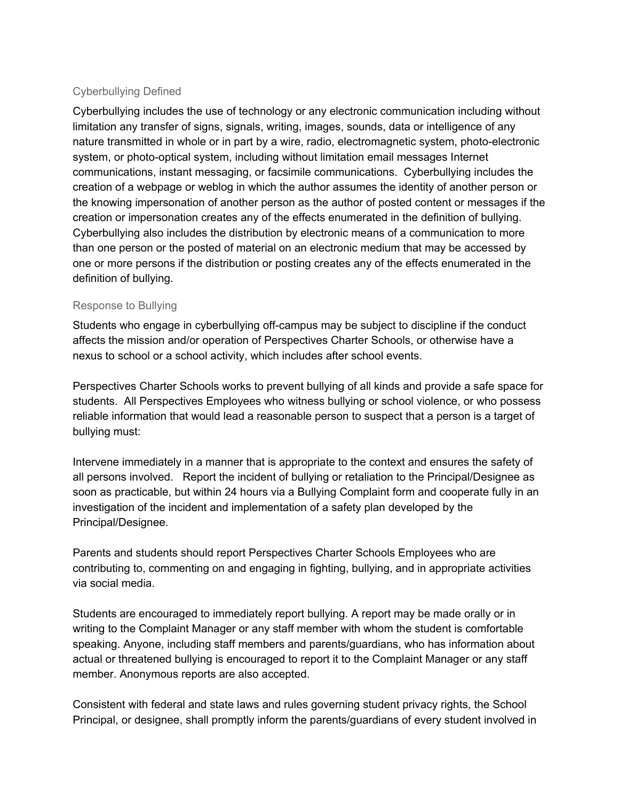#### Cyberbullying Defined

Cyberbullying includes the use of technology or any electronic communication including without limitation any transfer of signs, signals, writing, images, sounds, data or intelligence of any nature transmitted in whole or in part by a wire, radio, electromagnetic system, photo-electronic system, or photo-optical system, including without limitation email messages Internet communications, instant messaging, or facsimile communications. Cyberbullying includes the creation of a webpage or weblog in which the author assumes the identity of another person or the knowing impersonation of another person as the author of posted content or messages if the creation or impersonation creates any of the effects enumerated in the definition of bullying. Cyberbullying also includes the distribution by electronic means of a communication to more than one person or the posted of material on an electronic medium that may be accessed by one or more persons if the distribution or posting creates any of the effects enumerated in the definition of bullying.

#### Response to Bullying

Students who engage in cyberbullying off-campus may be subject to discipline if the conduct affects the mission and/or operation of Perspectives Charter Schools, or otherwise have a nexus to school or a school activity, which includes after school events.

Perspectives Charter Schools works to prevent bullying of all kinds and provide a safe space for students. All Perspectives Employees who witness bullying or school violence, or who possess reliable information that would lead a reasonable person to suspect that a person is a target of bullying must:

Intervene immediately in a manner that is appropriate to the context and ensures the safety of all persons involved. Report the incident of bullying or retaliation to the Principal/Designee as soon as practicable, but within 24 hours via a Bullying Complaint form and cooperate fully in an investigation of the incident and implementation of a safety plan developed by the Principal/Designee.

Parents and students should report Perspectives Charter Schools Employees who are contributing to, commenting on and engaging in fighting, bullying, and in appropriate activities via social media.

Students are encouraged to immediately report bullying. A report may be made orally or in writing to the Complaint Manager or any staff member with whom the student is comfortable speaking. Anyone, including staff members and parents/guardians, who has information about actual or threatened bullying is encouraged to report it to the Complaint Manager or any staff member. Anonymous reports are also accepted.

Consistent with federal and state laws and rules governing student privacy rights, the School Principal, or designee, shall promptly inform the parents/guardians of every student involved in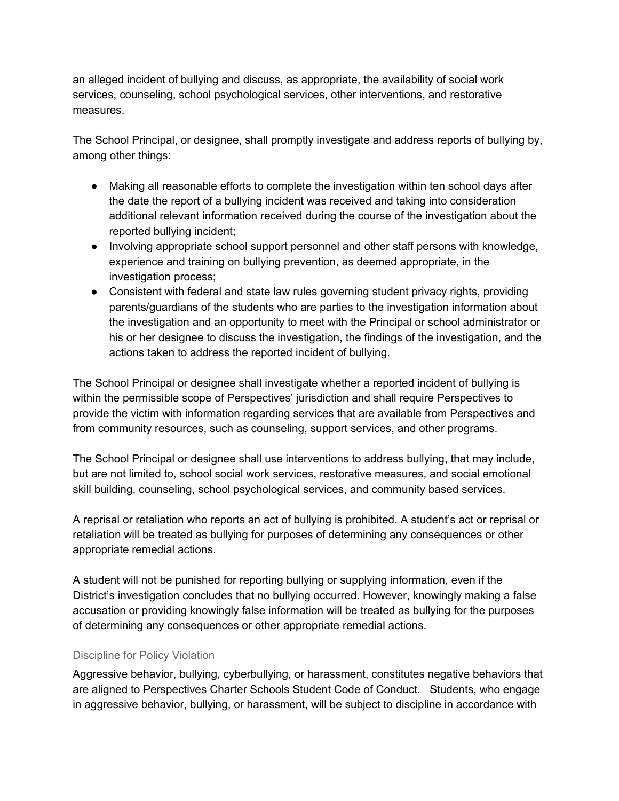an alleged incident of bullying and discuss, as appropriate, the availability of social work services, counseling, school psychological services, other interventions, and restorative measures.

The School Principal, or designee, shall promptly investigate and address reports of bullying by, among other things:

- Making all reasonable efforts to complete the investigation within ten school days after the date the report of a bullying incident was received and taking into consideration additional relevant information received during the course of the investigation about the reported bullying incident;
- Involving appropriate school support personnel and other staff persons with knowledge, experience and training on bullying prevention, as deemed appropriate, in the investigation process;
- Consistent with federal and state law rules governing student privacy rights, providing parents/guardians of the students who are parties to the investigation information about the investigation and an opportunity to meet with the Principal or school administrator or his or her designee to discuss the investigation, the findings of the investigation, and the actions taken to address the reported incident of bullying.

The School Principal or designee shall investigate whether a reported incident of bullying is within the permissible scope of Perspectives' jurisdiction and shall require Perspectives to provide the victim with information regarding services that are available from Perspectives and from community resources, such as counseling, support services, and other programs.

The School Principal or designee shall use interventions to address bullying, that may include, but are not limited to, school social work services, restorative measures, and social emotional skill building, counseling, school psychological services, and community based services.

A reprisal or retaliation who reports an act of bullying is prohibited. A student's act or reprisal or retaliation will be treated as bullying for purposes of determining any consequences or other appropriate remedial actions.

A student will not be punished for reporting bullying or supplying information, even if the District's investigation concludes that no bullying occurred. However, knowingly making a false accusation or providing knowingly false information will be treated as bullying for the purposes of determining any consequences or other appropriate remedial actions.

#### Discipline for Policy Violation

Aggressive behavior, bullying, cyberbullying, or harassment, constitutes negative behaviors that are aligned to Perspectives Charter Schools Student Code of Conduct. Students, who engage in aggressive behavior, bullying, or harassment, will be subject to discipline in accordance with